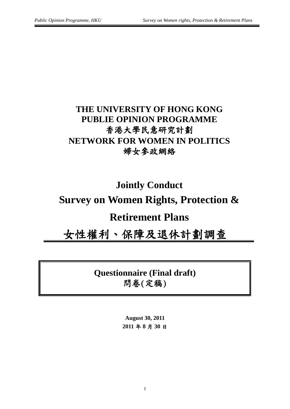## **THE UNIVERSITY OF HONG KONG PUBLIE OPINION PROGRAMME** 香港大學民意研究計劃 **NETWORK FOR WOMEN IN POLITICS** 婦女參政網絡

# **Jointly Conduct Survey on Women Rights, Protection & Retirement Plans**

女性權利、保障及退休計劃調查

**Questionnaire (Final draft)** 問卷(定稿)

> **August 30, 2011 2011** 年 **8** 月 **30** 日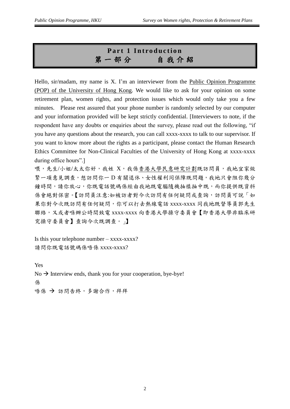### **Part 1 Introduction** 第一部分自 我 介 紹

Hello, sir/madam, my name is X. I'm an interviewer from the Public Opinion Programme (POP) of the University of Hong Kong. We would like to ask for your opinion on some retirement plan, women rights, and protection issues which would only take you a few minutes. Please rest assured that your phone number is randomly selected by our computer and your information provided will be kept strictly confidential. [Interviewers to note, if the respondent have any doubts or enquiries about the survey, please read out the following, "if you have any questions about the research, you can call xxxx-xxxx to talk to our supervisor. If you want to know more about the rights as a participant, please contact the Human Research Ethics Committee for Non-Clinical Faculties of the University of Hong Kong at xxxx-xxxx during office hours".]

喂,先生/小姐/太太你好,我姓 X,我係香港大學民意研究計劃既訪問員,我地宜家做 緊一項意見調查,想訪問你一D 有關退休、女性權利同保障既問題,我地只會阻你幾分 鐘時間,請你放心,你既電話號碼係經由我地既電腦隨機抽樣抽中既,而你提供既資料 係會絕對保密。【訪問員注意:如被訪者對今次訪問有任何疑問或查詢,訪問員可說「如 果你對今次既訪問有任何疑問,你可以打去熱線電話 xxxx-xxxx 同我地既督導員郭先生 聯絡,又或者喺辦公時間致電 xxxx-xxxx 向香港大學操守委員會【即香港大學非臨床研 究操守委員會】查詢今次既調查。」】

Is this your telephone number  $-$  xxxx-xxxx? 請問你既電話號碼係唔係 xxxx-xxxx?

Yes  $No \rightarrow$  Interview ends, thank you for your cooperation, bye-bye! 係 唔係 → 訪問告終,多謝合作,拜拜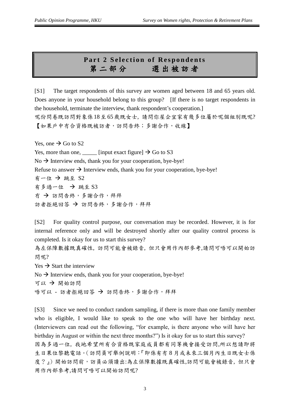#### **Part 2 Selection of Respondents** 第二部分選 出 被 訪 者

[S1] The target respondents of this survey are women aged between 18 and 65 years old. Does anyone in your household belong to this group? [If there is no target respondents in the household, terminate the interview, thank respondent's cooperation.] 呢份問卷既訪問對象係18至65歲既女士, 請問你屋企宜家有幾多位屬於呢個組別既呢? 【如果戶中冇合資格既被訪者,訪問告終;多謝合作,收線】

Yes, one  $\rightarrow$  Go to S2

Yes, more than one,  $\frac{1}{\sqrt{2}}$  [input exact figure]  $\rightarrow$  Go to S3

 $No \rightarrow$  Interview ends, thank you for your cooperation, bye-bye!

Refuse to answer  $\rightarrow$  Interview ends, thank you for your cooperation, bye-bye!

有一位 跳至 S2 有多過一位 跳至 S3 右 → 訪問告終,多謝合作,拜拜 訪者拒絕回答 → 訪問告終,多謝合作,拜拜

[S2] For quality control purpose, our conversation may be recorded. However, it is for internal reference only and will be destroyed shortly after our quality control process is completed. Is it okay for us to start this survey?

為左保障數據既真確性, 訪問可能會被錄音, 但只會用作內部參考,請問可唔可以開始訪 問呢?

 $Yes \rightarrow Start$  the interview

 $No \rightarrow$  Interview ends, thank you for your cooperation, bye-bye!

可以 → 開始訪問

唔可以 - 訪者拒絕回答 → 訪問告終,多謝合作,拜拜

[S3] Since we need to conduct random sampling, if there is more than one family member who is eligible, I would like to speak to the one who will have her birthday next. (Interviewers can read out the following, "for example, is there anyone who will have her birthday in August or within the next three months?") Is it okay for us to start this survey? 因為多過一位, 我地希望所有合資格既家庭成員都有同等機會接受訪問,所以想請即將 生日果位黎聽電話。(訪問員可舉例說明:『即係有冇8月或未來三個月內生日既女士係 度?』)開始訪問前,訪員必須讀出:為左保障數據既真確性,訪問可能會被錄音, 但只會 用作內部參考,請問可唔可以開始訪問呢?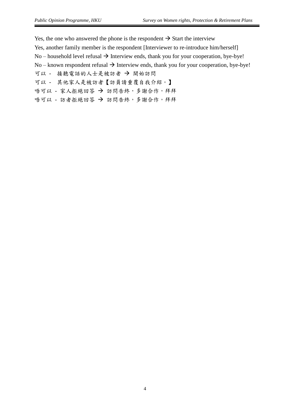Yes, the one who answered the phone is the respondent  $\rightarrow$  Start the interview Yes, another family member is the respondent [Interviewer to re-introduce him/herself] No – household level refusal  $\rightarrow$  Interview ends, thank you for your cooperation, bye-bye! No – known respondent refusal  $\rightarrow$  Interview ends, thank you for your cooperation, bye-bye! 可以 - 接聽電話的人士是被訪者 → 開始訪問 可以 - 其他家人是被訪者【訪員請重覆自我介紹。】

唔可以 - 家人拒絕回答 → 訪問告終,多謝合作,拜拜

唔可以 - 訪者拒絕回答 → 訪問告終,多謝合作,拜拜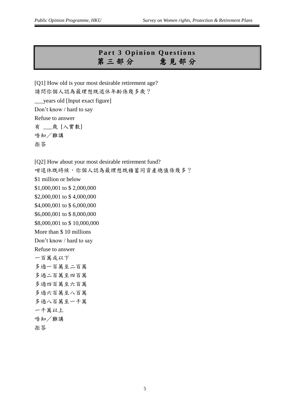#### **Part 3 Opinion Questions** 第三部分意 見 部 分

[Q1] How old is your most desirable retirement age? 請問你個人認為最理想既退休年齡係幾多歲? \_\_\_years old [Input exact figure] Don't know / hard to say Refuse to answer 有 \_\_\_歲 [入實數] 唔知/難講 拒答

[Q2] How about your most desirable retirement fund? 咁退休既時候,你個人認為最理想既積蓄同資產總值係幾多? \$1 million or below \$1,000,001 to \$ 2,000,000 \$2,000,001 to \$ 4,000,000 \$4,000,001 to \$ 6,000,000 \$6,000,001 to \$ 8,000,000 \$8,000,001 to \$ 10,000,000 More than \$ 10 millions Don't know / hard to say Refuse to answer 一百萬或以下 多過一百萬至二百萬 多過二百萬至四百萬 多過四百萬至六百萬 多過六百萬至八百萬 多過八百萬至一千萬 一千萬以上 唔知/難講

拒答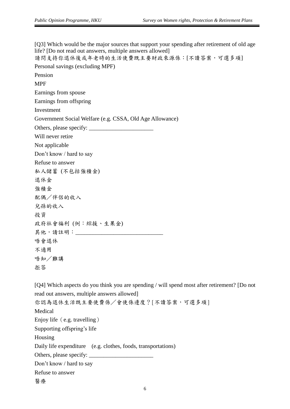[Q3] Which would be the major sources that support your spending after retirement of old age life? [Do not read out answers, multiple answers allowed]

請問支持你退休後或年老時的生活使費既主要財政來源係:[不讀答案,可選多項]

Personal savings (excluding MPF)

Pension

MPF

Earnings from spouse

Earnings from offspring

Investment

Government Social Welfare (e.g. CSSA, Old Age Allowance)

Others, please specify: \_\_\_\_\_\_\_\_\_\_\_\_\_\_\_\_\_\_\_\_\_\_ Will never retire

Not applicable Don't know / hard to say

Refuse to answer

私人儲蓄 (不包括強積金)

退休金

強積金

配偶/伴侶的收入

兒孫的收入

投資

政府社會福利 (例:綜援、生果金) 其他,請註明: \_\_\_\_\_\_\_\_\_\_\_\_\_\_\_ 唔會退休

唔知/難講

不適用

拒答

[Q4] Which aspects do you think you are spending / will spend most after retirement? [Do not read out answers, multiple answers allowed] 你認為退休生活既主要使費係/會使係邊度?[不讀答案,可選多項] Medical Enjoy life (e.g. travelling) Supporting offspring's life Housing Daily life expenditure (e.g. clothes, foods, transportations) Others, please specify: \_\_\_\_\_\_\_\_\_\_\_\_\_\_\_\_\_\_\_\_\_\_ Don't know / hard to say Refuse to answer 醫療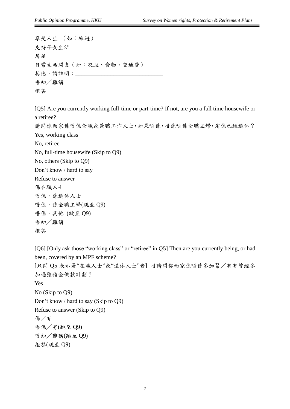享受人生 (如:旅遊) 支持子女生活 房屋 日常生活開支(如:衣服、食物、交通費) 其他,請註明: \_\_\_\_\_\_\_\_\_\_ 唔知/難講 拒答

[Q5] Are you currently working full-time or part-time? If not, are you a full time housewife or a retiree? 請問你而家係唔係全職或兼職工作人士,如果唔係,咁係唔係全職主婦,定係已經退休? Yes, working class No, retiree No, full-time housewife (Skip to Q9) No, others (Skip to Q9) Don't know / hard to say Refuse to answer 係在職人士 唔係,係退休人士 唔係,係全職主婦(跳至 Q9) 唔係,其他 (跳至 Q9) 唔知/難講

拒答

[Q6] [Only ask those "working class" or "retiree" in Q5] Then are you currently being, or had been, covered by an MPF scheme?

[只問 Q5 表示是"在職人士"或"退休人士"者] 咁請問你而家係唔係參加緊/有冇曾經參 加過強積金供款計劃?

Yes No (Skip to Q9) Don't know / hard to say (Skip to Q9) Refuse to answer (Skip to Q9) 係/有 唔係/冇(跳至 Q9) 唔知/難講(跳至 Q9) 拒答(跳至 Q9)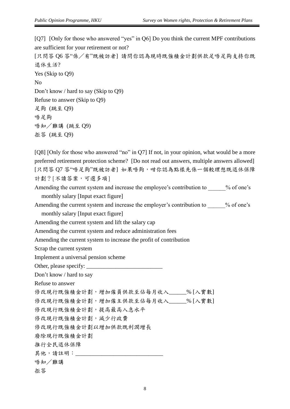[Q7] [Only for those who answered "yes" in Q6] Do you think the current MPF contributions are sufficient for your retirement or not?

[只問答 Q6 答"係/有"既被訪者] 請問你認為現時既強積金計劃供款足唔足夠支持你既 退休生活? Yes (Skip to Q9) No Don't know / hard to say (Skip to Q9) Refuse to answer (Skip to Q9) 足夠 (跳至 Q9)

唔足夠 唔知/難講 (跳至 Q9)

拒答 (跳至 Q9)

[Q8] [Only for those who answered "no" in Q7] If not, in your opinion, what would be a more preferred retirement protection scheme? [Do not read out answers, multiple answers allowed] [只問答 Q7 答"唔足夠"既被訪者] 如果唔夠,咁你認為點樣先係一個較理想既退休保障 計劃?[不讀答案,可選多項]

Amending the current system and increase the employee's contribution to  $\%$  of one's monthly salary [Input exact figure]

Amending the current system and increase the employer's contribution to  $\%$  of one's

monthly salary [Input exact figure]

Amending the current system and lift the salary cap

Amending the current system and reduce administration fees

Amending the current system to increase the profit of contribution

Scrap the current system

Implement a universal pension scheme

Other, please specify: \_\_\_\_\_\_\_\_\_\_\_\_\_\_\_\_\_\_\_\_\_\_\_\_\_\_

Don't know / hard to say

Refuse to answer

修改現行既強積金計劃,增加僱員供款至佔每月收入\_\_\_\_\_\_% [入實數]

修改現行既強積金計劃,增加僱主供款至佔每月收入\_\_\_\_\_\_% [入實數]

修改現行既強積金計劃,提高最高入息水平

修改現行既強積金計劃,減少行政費

修改現行既強積金計劃以增加供款既利潤增長

廢除現行既強積金計劃

推行全民退休保障

其他,請註明: \_\_\_\_\_\_\_\_\_

唔知/難講

拒答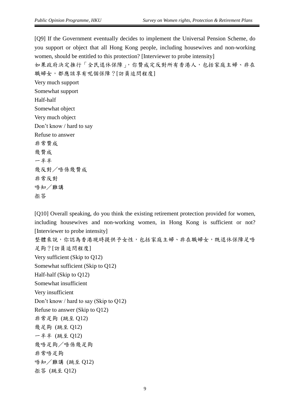[Q9] If the Government eventually decides to implement the Universal Pension Scheme, do you support or object that all Hong Kong people, including housewives and non-working women, should be entitled to this protection? [Interviewer to probe intensity] 如果政府決定推行「全民退休保障」,你贊成定反對所有香港人,包括家庭主婦、非在 職婦女,都應該享有呢個保障?[訪員追問程度] Very much support Somewhat support Half-half Somewhat object Very much object Don't know / hard to say Refuse to answer 非常贊成 幾贊成 一半半 幾反對/唔係幾贊成 非常反對 唔知/難講 拒答

[Q10] Overall speaking, do you think the existing retirement protection provided for women, including housewives and non-working women, in Hong Kong is sufficient or not? [Interviewer to probe intensity] 整體來說,你認為香港現時提供予女性,包括家庭主婦、非在職婦女,既退休保障足唔 足夠?[訪員追問程度] Very sufficient (Skip to Q12) Somewhat sufficient (Skip to Q12) Half-half (Skip to Q12) Somewhat insufficient Very insufficient Don't know / hard to say (Skip to Q12) Refuse to answer (Skip to Q12) 非常足夠 (跳至 Q12) 幾足夠 (跳至 Q12) 一半半 (跳至 Q12) 幾唔足夠/唔係幾足夠 非常唔足夠 唔知/難講 (跳至 Q12) 拒答 (跳至 Q12)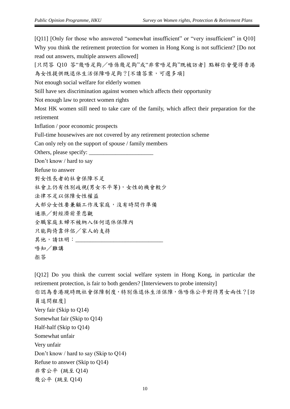[Q11] [Only for those who answered "somewhat insufficient" or "very insufficient" in Q10] Why you think the retirement protection for women in Hong Kong is not sufficient? [Do not read out answers, multiple answers allowed]

[只問答 Q10 答"幾唔足夠/唔係幾足夠"或"非常唔足夠"既被訪者] 點解你會覺得香港 為女性提供既退休生活保障唔足夠?[不讀答案,可選多項]

Not enough social welfare for elderly women

Still have sex discrimination against women which affects their opportunity

Not enough law to protect women rights

Most HK women still need to take care of the family, which affect their preparation for the retirement

Inflation / poor economic prospects

Full-time housewives are not covered by any retirement protection scheme

Can only rely on the support of spouse / family members

Others, please specify:

Don't know / hard to say

Refuse to answer

對女性長者的社會保障不足

社會上仍有性別歧視(男女不平等),女性的機會較少

法律不足以保障女性權益

大部分女性要兼顧工作及家庭,沒有時間作準備

通漲/對經濟前景悲觀

全職家庭主婦不被納入任何退休保障內

只能夠倚靠伴侶/家人的支持

其他,請註明:

唔知/難講

[Q12] Do you think the current social welfare system in Hong Kong, in particular the retirement protection, is fair to both genders? [Interviewers to probe intensity] 你認為香港現時既社會保障制度,特別係退休生活保障,係唔係公平對待男女兩性?[訪 員追問程度] Very fair (Skip to Q14) Somewhat fair (Skip to Q14) Half-half (Skip to Q14) Somewhat unfair Very unfair Don't know / hard to say (Skip to Q14) Refuse to answer (Skip to Q14) 非常公平 (跳至 Q14) 幾公平 (跳至 Q14)

拒答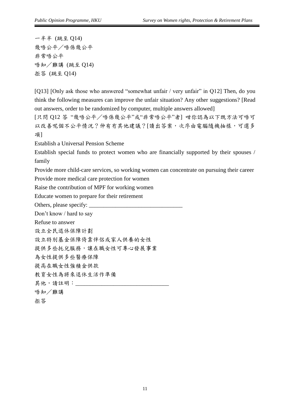一半半 (跳至 Q14) 幾唔公平/唔係幾公平 非常唔公平 唔知/難講 (跳至 Q14) 拒答 (跳至 Q14)

[Q13] [Only ask those who answered "somewhat unfair / very unfair" in Q12] Then, do you think the following measures can improve the unfair situation? Any other suggestions? [Read out answers, order to be randomized by computer, multiple answers allowed]

[只問 Q12 答 "幾唔公平/唔係幾公平"或"非常唔公平"者] 咁你認為以下既方法可唔可 以改善呢個不公平情況?仲有冇其他建議?[讀出答案,次序由電腦隨機抽樣,可選多 項]

Establish a Universal Pension Scheme

Establish special funds to protect women who are financially supported by their spouses / family

Provide more child-care services, so working women can concentrate on pursuing their career

Provide more medical care protection for women

Raise the contribution of MPF for working women

Educate women to prepare for their retirement

Others, please specify:

Don't know / hard to say

Refuse to answer

設立全民退休保障計劃

設立特別基金保障倚靠伴侶或家人供養的女性

提供多些托兒服務,讓在職女性可專心發展事業

為女性提供多些醫療保障

提高在職女性強積金供款

教育女性為將來退休生活作準備

其他,請註明:\_\_\_\_\_\_\_\_\_

唔知/難講

拒答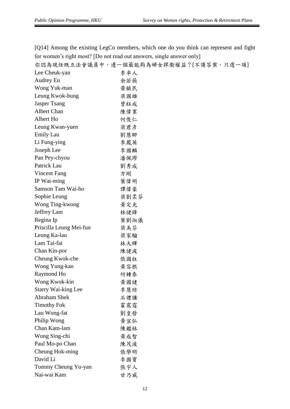[Q14] Among the existing LegCo members, which one do you think can represent and fight for women's right most? [Do not read out answers, single answer only]

你認為現任既立法會議員中,邊一個最能夠為婦女捍衞權益?[不讀答案,只選一項]

| Lee Cheuk-yan              | 李卓人  |
|----------------------------|------|
| Audrey Eu                  | 余若薇  |
| Wong Yuk-man               | 黄毓民  |
| Leung Kwok-hung            | 梁國雄  |
| <b>Jasper Tsang</b>        | 曾鈺成  |
| Albert Chan                | 陳偉業  |
| Albert Ho                  | 何俊仁  |
| Leung Kwan-yuen            | 梁君彦  |
| Emily Lau                  | 劉慧卿  |
| Li Fung-ying               | 李鳳英  |
| Joseph Lee                 | 李國麟  |
| Pan Pey-chyou              | 潘佩璆  |
| Patrick Lau                | 劉秀成  |
| <b>Vincent Fang</b>        | 方剛   |
| IP Wai-ming                | 葉偉明  |
| Samson Tam Wai-ho          | 譚偉豪  |
| Sophie Leung               | 梁劉柔芬 |
| Wong Ting-kwong            | 黄定光  |
| Jeffrey Lam                | 林健鋒  |
| Regina Ip                  | 葉劉淑儀 |
| Priscilla Leung Mei-fun    | 梁美芬  |
| Leung Ka-lau               | 梁家騮  |
| Lam Tai-fai                | 林大輝  |
| Chan Kin-por               | 陳健波  |
| Cheung Kwok-che            | 張國柱  |
| Wong Yung-kan              | 黄容根  |
| Raymond Ho                 | 何鍾泰  |
| Wong Kwok-kin              | 黃國健  |
| <b>Starry Wai-king Lee</b> | 李慧琼  |
| <b>Abraham Shek</b>        | 石禮謙  |
| <b>Timothy Fok</b>         | 霍震霆  |
| Lau Wong-fat               | 劉皇發  |
| Philip Wong                | 黄宜弘  |
| Chan Kam-lam               | 陳鑑林  |
| Wong Sing-chi              | 黃成智  |
| Paul Mo-po Chan            | 陳茂波  |
| Cheung Hok-ming            | 張學明  |
| David Li                   | 李國寶  |
| Tommy Cheung Yu-yan        | 張宇人  |
| Nai-wai Kam                | 甘乃威  |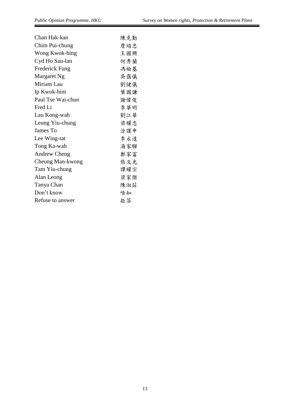| Chan Hak-kan        | 陳克勤 |
|---------------------|-----|
| Chim Pui-chung      | 詹培忠 |
| Wong Kwok-hing      | 王國興 |
| Cyd Ho Sau-lan      | 何秀蘭 |
| Frederick Fung      | 馮檢基 |
| Margaret Ng         | 吳靄儀 |
| Miriam Lau          | 劉健儀 |
| Ip Kwok-him         | 葉國謙 |
| Paul Tse Wai-chun   | 謝偉俊 |
| Fred Li             | 李華明 |
| Lau Kong-wah        | 劉江華 |
| Leung Yiu-chung     | 梁耀忠 |
| James To            | 涂謹申 |
| Lee Wing-tat        | 李永達 |
| Tong Ka-wah         | 湯家驊 |
| <b>Andrew Cheng</b> | 鄭家富 |
| Cheung Man-kwong    | 張文光 |
| Tam Yiu-chung       | 譚耀宗 |
| Alan Leong          | 梁家傑 |
| Tanya Chan          | 陳淑莊 |
| Don't know          | 唔知  |
| Refuse to answer    | 拒答  |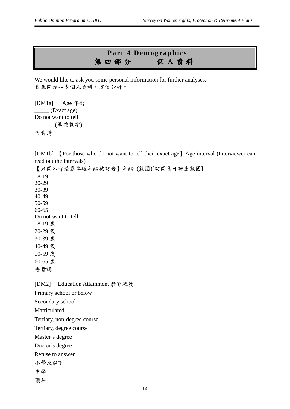#### Part 4 Demographics 第四部分個 人資料

We would like to ask you some personal information for further analyses. 我想問你些少個人資料,方便分析。

[DM1a] Age 年齡 \_\_\_\_\_ (Exact age) Do not want to tell \_\_\_\_\_\_\_(準確數字) 唔肯講

[DM1b] 【For those who do not want to tell their exact age】Age interval (Interviewer can read out the intervals)

【只問不肯透露準確年齡被訪者】年齡 (範圍)[訪問員可讀出範圍] 18-19 20-29 30-39 40-49 50-59 60-65 Do not want to tell 18-19 歲 20-29 歲 30-39 歲 40-49 歲 50-59 歲 60-65 歲 唔肯講

[DM2] Education Attainment 教育程度 Primary school or below Secondary school Matriculated Tertiary, non-degree course Tertiary, degree course Master's degree Doctor's degree Refuse to answer 小學或以下 中學 預科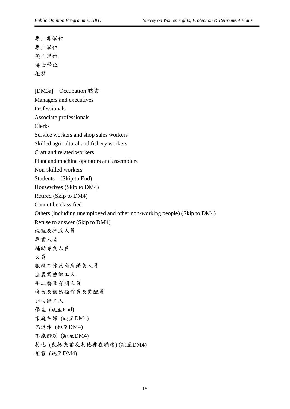專上非學位 專上學位 碩士學位 博士學位 拒答

[DM3a] Occupation 職業 Managers and executives Professionals Associate professionals Clerks Service workers and shop sales workers Skilled agricultural and fishery workers Craft and related workers Plant and machine operators and assemblers Non-skilled workers Students (Skip to End) Housewives (Skip to DM4) Retired (Skip to DM4) Cannot be classified Others (including unemployed and other non-working people) (Skip to DM4) Refuse to answer (Skip to DM4) 經理及行政人員 專業人員 輔助專業人員 文員 服務工作及商店銷售人員 漁農業熟練工人 手工藝及有關人員 機台及機器操作員及裝配員 非技術工人 學生 (跳至End) 家庭主婦 (跳至DM4) 巳退休 (跳至DM4) 不能辨別 (跳至DM4) 其他 (包括失業及其他非在職者) (跳至DM4) 拒答 (跳至DM4)